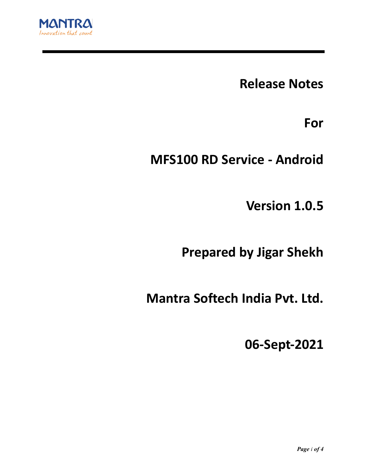

**Release Notes**

**For**

**MFS100 RD Service - Android**

**Version 1.0.5**

**Prepared by Jigar Shekh**

**Mantra Softech India Pvt. Ltd.**

**06-Sept-2021**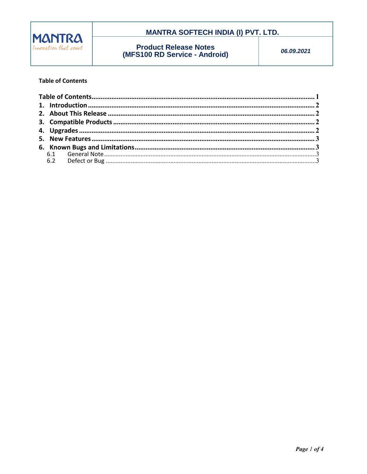

## **MANTRA SOFTECH INDIA (I) PVT. LTD.**

**Product Release Notes**<br>(MFS100 RD Service - Android)

06.09.2021

#### **Table of Contents**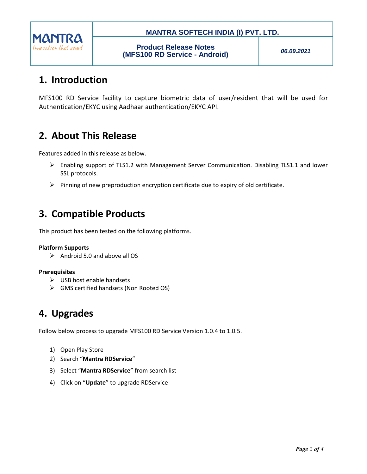

### **MANTRA SOFTECH INDIA (I) PVT. LTD.**

*06.09.2021*

# **1. Introduction**

MFS100 RD Service facility to capture biometric data of user/resident that will be used for Authentication/EKYC using Aadhaar authentication/EKYC API.

# **2. About This Release**

Features added in this release as below.

- $\triangleright$  Enabling support of TLS1.2 with Management Server Communication. Disabling TLS1.1 and lower SSL protocols.
- $\triangleright$  Pinning of new preproduction encryption certificate due to expiry of old certificate.

# **3. Compatible Products**

This product has been tested on the following platforms.

#### **Platform Supports**

 $\triangleright$  Android 5.0 and above all OS

#### **Prerequisites**

- $\triangleright$  USB host enable handsets
- GMS certified handsets (Non Rooted OS)

## **4. Upgrades**

Follow below process to upgrade MFS100 RD Service Version 1.0.4 to 1.0.5.

- 1) Open Play Store
- 2) Search "**Mantra RDService**"
- 3) Select "**Mantra RDService**" from search list
- 4) Click on "**Update**" to upgrade RDService